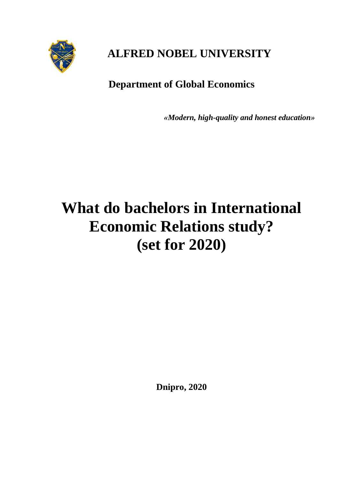

# **ALFRED NOBEL UNIVERSITY**

# **Department of Global Economics**

*«Modern, high-quality and honest education»*

# **What do bachelors in International Economic Relations study? (set for 2020)**

**Dnipro, 2020**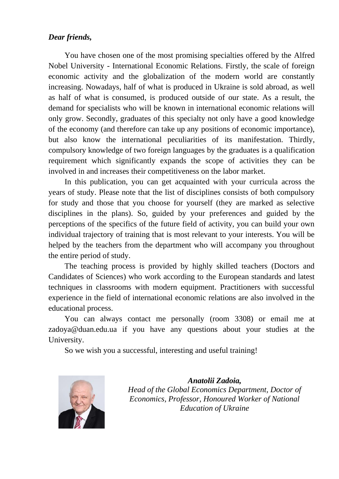# *Dear friends,*

You have chosen one of the most promising specialties offered by the Alfred Nobel University - International Economic Relations. Firstly, the scale of foreign economic activity and the globalization of the modern world are constantly increasing. Nowadays, half of what is produced in Ukraine is sold abroad, as well as half of what is consumed, is produced outside of our state. As a result, the demand for specialists who will be known in international economic relations will only grow. Secondly, graduates of this specialty not only have a good knowledge of the economy (and therefore can take up any positions of economic importance), but also know the international peculiarities of its manifestation. Thirdly, compulsory knowledge of two foreign languages by the graduates is a qualification requirement which significantly expands the scope of activities they can be involved in and increases their competitiveness on the labor market.

In this publication, you can get acquainted with your curricula across the years of study. Please note that the list of disciplines consists of both compulsory for study and those that you choose for yourself (they are marked as selective disciplines in the plans). So, guided by your preferences and guided by the perceptions of the specifics of the future field of activity, you can build your own individual trajectory of training that is most relevant to your interests. You will be helped by the teachers from the department who will accompany you throughout the entire period of study.

The teaching process is provided by highly skilled teachers (Doctors and Candidates of Sciences) who work according to the European standards and latest techniques in classrooms with modern equipment. Practitioners with successful experience in the field of international economic relations are also involved in the educational process.

You can always contact me personally (room 3308) or email me at zadoya@duan.edu.ua if you have any questions about your studies at the University.

So we wish you a successful, interesting and useful training!



*Anatolii Zadoia, Head of the Global Economics Department, Doctor of Economics, Professor, Honoured Worker of National Education of Ukraine*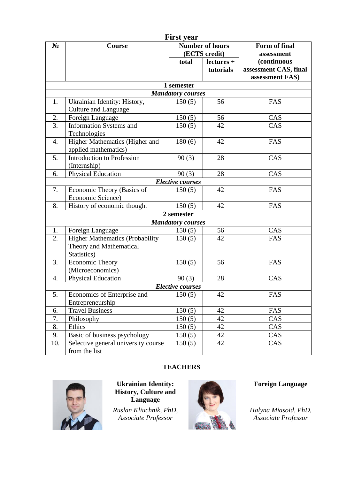| <b>First year</b>       |                                        |                                         |            |                             |  |  |
|-------------------------|----------------------------------------|-----------------------------------------|------------|-----------------------------|--|--|
| $N_2$                   | Course                                 | <b>Number of hours</b><br>(ECTS credit) |            | Form of final<br>assessment |  |  |
|                         |                                        |                                         |            |                             |  |  |
|                         |                                        | total                                   | lectures + | <i>(continuous)</i>         |  |  |
|                         |                                        |                                         | tutorials  | assessment CAS, final       |  |  |
|                         |                                        |                                         |            | assessment FAS)             |  |  |
|                         |                                        | 1 semester                              |            |                             |  |  |
|                         |                                        | <b>Mandatory courses</b>                |            |                             |  |  |
| 1.                      | Ukrainian Identity: History,           | 150(5)                                  | 56         | FAS                         |  |  |
|                         | Culture and Language                   |                                         |            |                             |  |  |
| 2.                      | Foreign Language                       | 150(5)                                  | 56         | CAS                         |  |  |
| $\overline{3}$ .        | <b>Information Systems and</b>         | 150(5)                                  | 42         | CAS                         |  |  |
|                         | Technologies                           |                                         |            |                             |  |  |
| 4.                      | Higher Mathematics (Higher and         | 180(6)                                  | 42         | FAS                         |  |  |
|                         | applied mathematics)                   |                                         |            |                             |  |  |
| 5.                      | <b>Introduction to Profession</b>      | 90(3)                                   | 28         | CAS                         |  |  |
|                         | (Internship)                           |                                         |            |                             |  |  |
| 6.                      | <b>Physical Education</b>              | 90(3)                                   | 28         | CAS                         |  |  |
| <b>Elective courses</b> |                                        |                                         |            |                             |  |  |
| 7.                      | Economic Theory (Basics of             | 150(5)                                  | 42         | FAS                         |  |  |
|                         | Economic Science)                      |                                         |            |                             |  |  |
| 8.                      | History of economic thought            | 150(5)                                  | 42         | FAS                         |  |  |
|                         | 2 semester                             |                                         |            |                             |  |  |
|                         |                                        | <b>Mandatory courses</b>                |            |                             |  |  |
| 1.                      | Foreign Language                       | 150(5)                                  | 56         | CAS                         |  |  |
| 2.                      | <b>Higher Mathematics (Probability</b> | 150(5)                                  | 42         | FAS                         |  |  |
|                         | Theory and Mathematical                |                                         |            |                             |  |  |
|                         | Statistics)                            |                                         |            |                             |  |  |
| 3.                      | Economic Theory                        | 150(5)                                  | 56         | FAS                         |  |  |
|                         | (Microeconomics)                       |                                         |            |                             |  |  |
| 4.                      | <b>Physical Education</b>              | 90(3)                                   | 28         | CAS                         |  |  |
| <b>Elective courses</b> |                                        |                                         |            |                             |  |  |
| 5.                      | Economics of Enterprise and            | 150(5)                                  | 42         | FAS                         |  |  |
|                         | Entrepreneurship                       |                                         |            |                             |  |  |
| 6.                      | <b>Travel Business</b>                 | 150(5)                                  | 42         | FAS                         |  |  |
| 7.                      | Philosophy                             | 150(5)                                  | 42         | CAS                         |  |  |
| 8.                      | Ethics                                 | 150(5)                                  | 42         | CAS                         |  |  |
| 9.                      | Basic of business psychology           | 150(5)                                  | 42         | CAS                         |  |  |
| 10.                     | Selective general university course    | 150(5)                                  | 42         | CAS                         |  |  |
|                         | from the list                          |                                         |            |                             |  |  |

# **TEACHERS**



**Ukrainian Identity: History, Culture and Language**

*Ruslan Kliuchnik, PhD, Associate Professor* 



**Foreign Language**

*Halyna Miasoid, PhD, Associate Professor*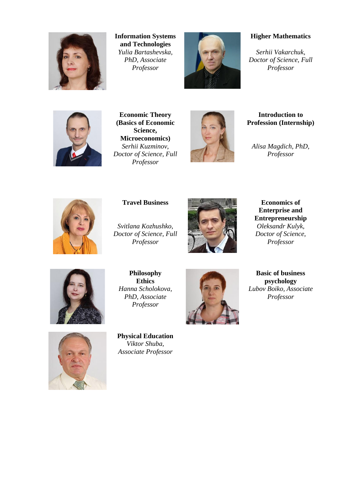

**Information Systems and Technologies** *Yulia Bartashevska, PhD, Associate Professor*



### **Higher Mathematics**

*Serhii Vakarchuk, Doctor of Science, Full Professor*



**Economic Theory (Basics of Economic Science, Microeconomics)** *Serhii Kuzminov, Doctor of Science, Full Professor*



**Introduction to Profession (Internship)**

*Alisa Magdich, PhD, Professor*



*Svitlana Kozhushko, Doctor of Science, Full Professor*



**Enterprise and Entrepreneurship** *Oleksandr Kulyk, Doctor of Science, Professor*



**Philosophy Ethics** *Hanna Scholokova, PhD, Associate Professor*





**Basic of business psychology** *Lubov Boiko, Associate Professor* 



*Associate Professor*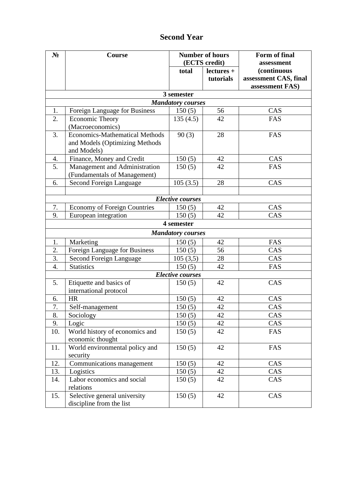| N <sub>2</sub>           | Course                              | <b>Number of hours</b>   |            | Form of final         |  |  |
|--------------------------|-------------------------------------|--------------------------|------------|-----------------------|--|--|
|                          |                                     | (ECTS credit)            |            | assessment            |  |  |
|                          |                                     | total                    | lectures + | (continuous           |  |  |
|                          |                                     |                          | tutorials  | assessment CAS, final |  |  |
|                          |                                     |                          |            | assessment FAS)       |  |  |
|                          |                                     | 3 semester               |            |                       |  |  |
| <b>Mandatory courses</b> |                                     |                          |            |                       |  |  |
| 1.                       | Foreign Language for Business       | 150(5)                   | 56         | CAS                   |  |  |
| 2.                       | <b>Economic Theory</b>              | 135(4.5)                 | 42         | FAS                   |  |  |
|                          | (Macroeconomics)                    |                          |            |                       |  |  |
| 3.                       | Economics-Mathematical Methods      | 90(3)                    | 28         | FAS                   |  |  |
|                          | and Models (Optimizing Methods      |                          |            |                       |  |  |
|                          | and Models)                         |                          |            |                       |  |  |
| 4.                       | Finance, Money and Credit           | 150(5)                   | 42         | CAS                   |  |  |
| 5.                       | Management and Administration       | 150(5)                   | 42         | FAS                   |  |  |
|                          | (Fundamentals of Management)        |                          |            |                       |  |  |
| 6.                       | <b>Second Foreign Language</b>      | 105(3.5)                 | 28         | CAS                   |  |  |
|                          |                                     |                          |            |                       |  |  |
|                          |                                     | <b>Elective courses</b>  |            |                       |  |  |
| 7.                       | <b>Economy of Foreign Countries</b> | 150(5)                   | 42         | CAS                   |  |  |
| 9.                       | European integration                | 150(5)                   | 42         | CAS                   |  |  |
|                          |                                     | 4 semester               |            |                       |  |  |
|                          |                                     | <b>Mandatory courses</b> |            |                       |  |  |
| 1.                       | Marketing                           | 150(5)                   | 42         | FAS                   |  |  |
| 2.                       | Foreign Language for Business       | 150(5)                   | 56         | CAS                   |  |  |
| 3.                       | Second Foreign Language             | 105(3,5)                 | 28         | CAS                   |  |  |
| $\overline{4}$ .         | <b>Statistics</b>                   | 150(5)                   | 42         | FAS                   |  |  |
|                          |                                     | <b>Elective courses</b>  |            |                       |  |  |
| 5.                       | Etiquette and basics of             | 150(5)                   | 42         | CAS                   |  |  |
|                          | international protocol              |                          |            |                       |  |  |
| 6.                       | <b>HR</b>                           | 150(5)                   | 42         | CAS                   |  |  |
| 7.                       | Self-management                     | 150(5)                   | 42         | CAS                   |  |  |
| 8.                       | Sociology                           | 150(5)                   | 42         | CAS                   |  |  |
| 9.                       | Logic                               | 150(5)                   | 42         | CAS                   |  |  |
| 10.                      | World history of economics and      | 150(5)                   | 42         | FAS                   |  |  |
|                          | economic thought                    |                          |            |                       |  |  |
| 11.                      | World environmental policy and      | 150(5)                   | 42         | FAS                   |  |  |
|                          | security                            |                          |            |                       |  |  |
| 12.                      | Communications management           | 150(5)                   | 42         | CAS                   |  |  |
| 13.                      | Logistics                           | 150(5)                   | 42         | CAS                   |  |  |
| 14.                      | Labor economics and social          | 150(5)                   | 42         | CAS                   |  |  |
|                          | relations                           |                          |            |                       |  |  |
| 15.                      | Selective general university        | 150(5)                   | 42         | CAS                   |  |  |
|                          | discipline from the list            |                          |            |                       |  |  |

# **Second Year**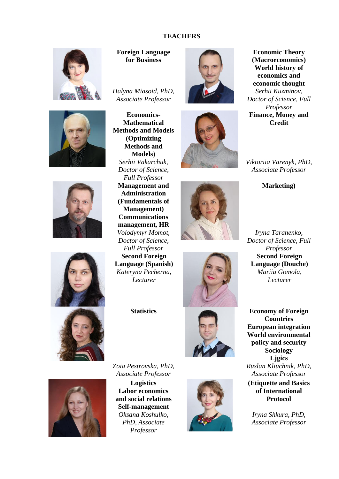### **TEACHERS**













**Foreign Language for Business**

*Halyna Miasoid, PhD, Associate Professor*

**Economics-Mathematical Methods and Models (Optimizing Methods and Models)** *Serhii Vakarchuk, Doctor of Science, Full Professor* **Management and Administration (Fundamentals of Management) Communications management, HR** *Volodymyr Momot, Doctor of Science, Full Professor*  **Second Foreign Language (Spanish)**  *Kateryna Pecherna, Lecturer*











**Economic Theory (Macroeconomics) World history of economics and economic thought** *Serhii Kuzminov, Doctor of Science, Full Professor* **Finance, Money and Credit**

*Viktoriia Varenyk, PhD, Associate Professor*

**Marketing)**

*Iryna Taranenko, Doctor of Science, Full Professor* **Second Foreign Language (Douche)**  *Mariia Gomola, Lecturer*

**Statistics Economy of Foreign Countries European integration World environmental policy and security Sociology Ljgics** *Ruslan Kliuchnik, PhD, Associate Professor* 

> **(Etiquette and Basics of International Protocol**

*Iryna Shkura, PhD, Associate Professor*



*Zoia Pestrovska, PhD, Associate Professor*

**Logistics Labor economics and social relations Self-management** *Oksana Koshulko, PhD, Associate Professor* 

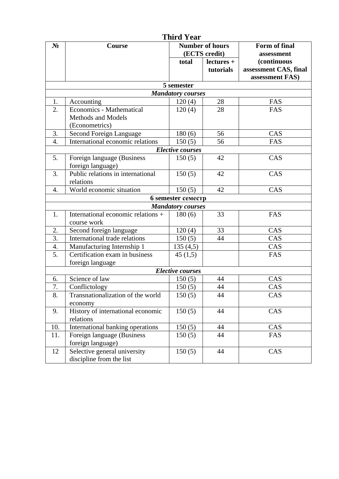|                          |                                    | <b>Third Year</b>                       |            |                             |  |  |
|--------------------------|------------------------------------|-----------------------------------------|------------|-----------------------------|--|--|
| $N_2$                    | Course                             | <b>Number of hours</b><br>(ECTS credit) |            | Form of final<br>assessment |  |  |
|                          |                                    |                                         |            |                             |  |  |
|                          |                                    | total                                   | lectures + | <i>(continuous)</i>         |  |  |
|                          |                                    |                                         | tutorials  | assessment CAS, final       |  |  |
|                          |                                    |                                         |            | assessment FAS)             |  |  |
|                          |                                    | 5 semester                              |            |                             |  |  |
| <b>Mandatory courses</b> |                                    |                                         |            |                             |  |  |
| 1.                       | Accounting                         | 120(4)                                  | 28         | FAS                         |  |  |
| 2.                       | Economics - Mathematical           | 120(4)                                  | 28         | FAS                         |  |  |
|                          | Methods and Models                 |                                         |            |                             |  |  |
|                          | (Econometrics)                     |                                         |            |                             |  |  |
| 3.                       | Second Foreign Language            | 180(6)                                  | 56         | CAS                         |  |  |
| 4.                       | International economic relations   | 150(5)                                  | 56         | FAS                         |  |  |
|                          |                                    | <b>Elective courses</b>                 |            |                             |  |  |
| 5.                       | Foreign language (Business         | 150(5)                                  | 42         | CAS                         |  |  |
|                          | foreign language)                  |                                         |            |                             |  |  |
| 3.                       | Public relations in international  | 150(5)                                  | 42         | CAS                         |  |  |
|                          | relations                          |                                         |            |                             |  |  |
| 4.                       | World economic situation           | 150(5)                                  | 42         | CAS                         |  |  |
|                          |                                    | <b>6</b> semester семестр               |            |                             |  |  |
| <b>Mandatory courses</b> |                                    |                                         |            |                             |  |  |
| 1.                       | International economic relations + | 180(6)                                  | 33         | FAS                         |  |  |
|                          | course work                        |                                         |            |                             |  |  |
| 2.                       | Second foreign language            | 120(4)                                  | 33         | CAS                         |  |  |
| $\overline{3}$ .         | International trade relations      | 150(5)                                  | 44         | CAS                         |  |  |
| 4.                       | Manufacturing Internship 1         | 135(4,5)                                |            | CAS                         |  |  |
| 5.                       | Certification exam in business     | 45(1,5)                                 |            | FAS                         |  |  |
|                          | foreign language                   |                                         |            |                             |  |  |
|                          |                                    | <b>Elective courses</b>                 |            |                             |  |  |
| 6.                       | Science of law                     | 150(5)                                  | 44         | CAS                         |  |  |
| $\overline{7}$           | Conflictology                      | 150(5)                                  | 44         | CAS                         |  |  |
| 8.                       | Transnationalization of the world  | 150(5)                                  | 44         | CAS                         |  |  |
|                          | economy                            |                                         |            |                             |  |  |
| 9.                       | History of international economic  | 150(5)                                  | 44         | CAS                         |  |  |
|                          | relations                          |                                         |            |                             |  |  |
| 10.                      | International banking operations   | 150(5)                                  | 44         | CAS                         |  |  |
| 11.                      | Foreign language (Business         | 150(5)                                  | 44         | FAS                         |  |  |
|                          | foreign language)                  |                                         |            |                             |  |  |
| 12                       | Selective general university       | 150(5)                                  | 44         | CAS                         |  |  |
|                          | discipline from the list           |                                         |            |                             |  |  |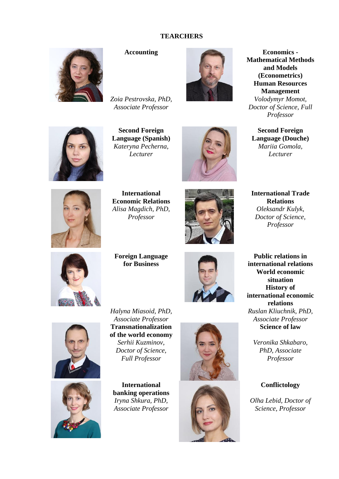### **TEARCHERS**



*Zoia Pestrovska, PhD, Associate Professor*

**Second Foreign Language (Spanish)** 

*Kateryna Pecherna, Lecturer*



**Accounting Economics - Mathematical Methods and Models (Econometrics) Human Resources Management** *Volodymyr Momot, Doctor of Science, Full Professor* 

**Second Foreign Language (Douche)**  *Mariia Gomola, Lecturer*



**International** 











**Foreign Language for Business**



**international relations World economic situation History of international economic relations** *Ruslan Kliuchnik, PhD, Associate Professor*  **Science of law**

**Public relations in** 

*Veronika Shkabaro, PhD, Associate Professor*

#### **Conflictology**

*Olha Lebid, Doctor of Science, Professor*

*Halyna Miasoid, PhD, Associate Professor* **Transnationalization of the world economy**





*Serhii Kuzminov, Doctor of Science, Full Professor*

**International banking operations** *Iryna Shkura, PhD, Associate Professor*



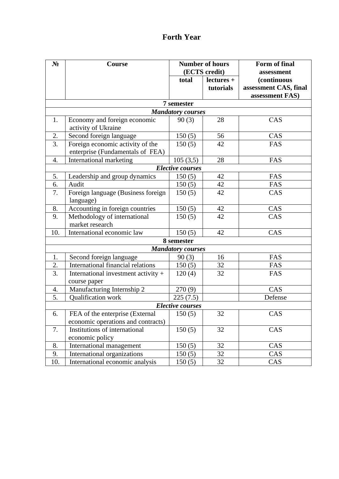# **Forth Year**

| $N_2$                    | Course                                          | <b>Number of hours</b>   |            | Form of final                        |  |
|--------------------------|-------------------------------------------------|--------------------------|------------|--------------------------------------|--|
|                          |                                                 | (ECTS credit)            |            | assessment                           |  |
|                          |                                                 | total                    | lectures + | (continuous<br>assessment CAS, final |  |
|                          |                                                 |                          | tutorials  | assessment FAS)                      |  |
|                          |                                                 | 7 semester               |            |                                      |  |
|                          |                                                 | <b>Mandatory courses</b> |            |                                      |  |
| 1.                       | Economy and foreign economic                    | 90(3)                    | 28         | CAS                                  |  |
|                          | activity of Ukraine                             |                          |            |                                      |  |
| 2.                       | Second foreign language                         | 150(5)                   | 56         | CAS                                  |  |
| $\overline{3}$ .         | Foreign economic activity of the                | 150(5)                   | 42         | FAS                                  |  |
|                          | enterprise (Fundamentals of FEA)                |                          |            |                                      |  |
| 4.                       | International marketing                         | 105(3,5)                 | 28         | FAS                                  |  |
|                          |                                                 | <b>Elective courses</b>  |            |                                      |  |
| 5.                       |                                                 | 150(5)                   | 42         | FAS                                  |  |
| 6.                       | Leadership and group dynamics<br>Audit          | 150(5)                   | 42         | FAS                                  |  |
|                          |                                                 |                          |            |                                      |  |
| 7.                       | Foreign language (Business foreign<br>language) | 150(5)                   | 42         | CAS                                  |  |
| 8.                       | Accounting in foreign countries                 | 150(5)                   | 42         | CAS                                  |  |
| 9.                       | Methodology of international                    | 150(5)                   | 42         | CAS                                  |  |
|                          | market research                                 |                          |            |                                      |  |
| 10.                      | International economic law                      | 150(5)                   | 42         | CAS                                  |  |
|                          |                                                 | 8 semester               |            |                                      |  |
| <b>Mandatory courses</b> |                                                 |                          |            |                                      |  |
| 1.                       | Second foreign language                         | 90(3)                    | 16         | FAS                                  |  |
| 2.                       | International financial relations               | 150(5)                   | 32         | FAS                                  |  |
| 3.                       | International investment activity +             | 120(4)                   | 32         | FAS                                  |  |
|                          | course paper                                    |                          |            |                                      |  |
| 4.                       | Manufacturing Internship 2                      | 270(9)                   |            | CAS                                  |  |
| 5.                       | Qualification work                              | 225(7.5)                 |            | Defense                              |  |
| <b>Elective courses</b>  |                                                 |                          |            |                                      |  |
| 6.                       | FEA of the enterprise (External                 | 150(5)                   | 32         | CAS                                  |  |
|                          | economic operations and contracts)              |                          |            |                                      |  |
| 7.                       | Institutions of international                   | 150(5)                   | 32         | CAS                                  |  |
|                          | economic policy                                 |                          |            |                                      |  |
| 8.                       | International management                        | 150(5)                   | 32         | CAS                                  |  |
| 9.                       | International organizations                     | 150(5)                   | 32         | CAS                                  |  |
| 10.                      | International economic analysis                 | 150(5)                   | 32         | CAS                                  |  |